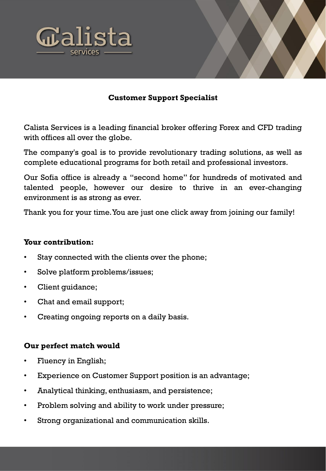



## **Customer Support Specialist**

Calista Services is a leading financial broker offering Forex and CFD trading with offices all over the globe.

The company's goal is to provide revolutionary trading solutions, as well as complete educational programs for both retail and professional investors.

Our Sofia office is already a "second home" for hundreds of motivated and talented people, however our desire to thrive in an ever-changing environment is as strong as ever.

Thank you for your time.You are just one click away from joining our family!

## **Your contribution:**

- Stay connected with the clients over the phone;
- Solve platform problems/issues;
- Client quidance;
- Chat and email support;
- Creating ongoing reports on a daily basis.

## **Our perfect match would**

- Fluency in English;
- Experience on Customer Support position is an advantage;
- Analytical thinking, enthusiasm, and persistence;
- Problem solving and ability to work under pressure;
- Strong organizational and communication skills.